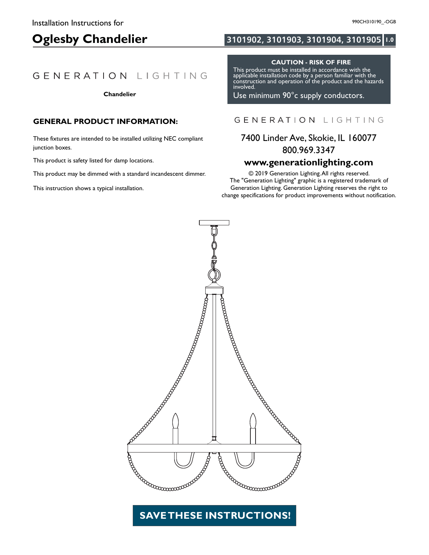## **Oglesby Chandelier 1.0 3101902, 3101903, 3101904, 3101905**

#### GENERATION LIGHTING

**Chandelier**

#### **GENERAL PRODUCT INFORMATION:**

These fixtures are intended to be installed utilizing NEC compliant junction boxes.

This product is safety listed for damp locations.

This product may be dimmed with a standard incandescent dimmer.

This instruction shows a typical installation.

#### **CAUTION - RISK OF FIRE**

llation code by a person familia **This product requires installation by a qualified electrician. BEFORE INSTALLING BEFORE INSTRUCTIONS AND LOCAL INSTRUCTIONS AND LOCAL INSTRUCTIONS AND LOCAL INSTRUCTIONS AND** This product must be installed in accordance with the applicable installation code by a person familiar with the construction and operation of the product and the hazards involved.

Use minimum 90°c supply conductors.

#### GENERATION LIGHTING

# 7400 Linder Ave, Skokie, IL 160077 800.969.3347

#### **www.generationlighting.com**

© 2019 Generation Lighting.All rights reserved. The "Generation Lighting" graphic is a registered trademark of Generation Lighting. Generation Lighting reserves the right to change specifications for product improvements without notification.



### **SAVETHESE INSTRUCTIONS!**